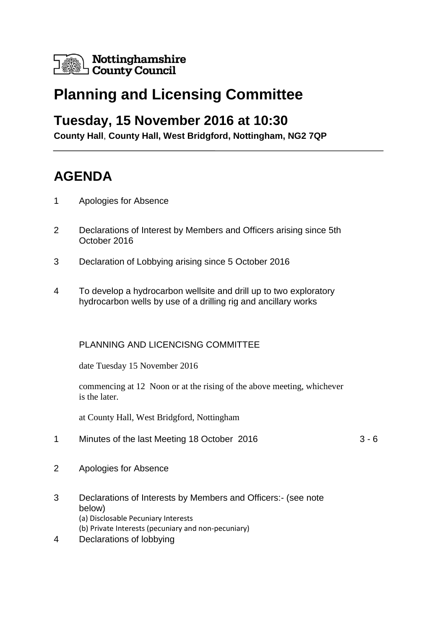

# **Planning and Licensing Committee**

### **Tuesday, 15 November 2016 at 10:30**

**County Hall**, **County Hall, West Bridgford, Nottingham, NG2 7QP**

## **AGENDA**

- 1 Apologies for Absence
- 2 Declarations of Interest by Members and Officers arising since 5th October 2016
- 3 Declaration of Lobbying arising since 5 October 2016
- 4 To develop a hydrocarbon wellsite and drill up to two exploratory hydrocarbon wells by use of a drilling rig and ancillary works

#### PLANNING AND LICENCISNG COMMITTEE

date Tuesday 15 November 2016

commencing at 12 Noon or at the rising of the above meeting, whichever is the later.

at County Hall, West Bridgford, Nottingham

- 1 Minutes of the last Meeting 18 October 2016 3 6
- 2 Apologies for Absence
- 3 Declarations of Interests by Members and Officers:- (see note below) (a) Disclosable Pecuniary Interests (b) Private Interests (pecuniary and non-pecuniary)
- 4 Declarations of lobbying